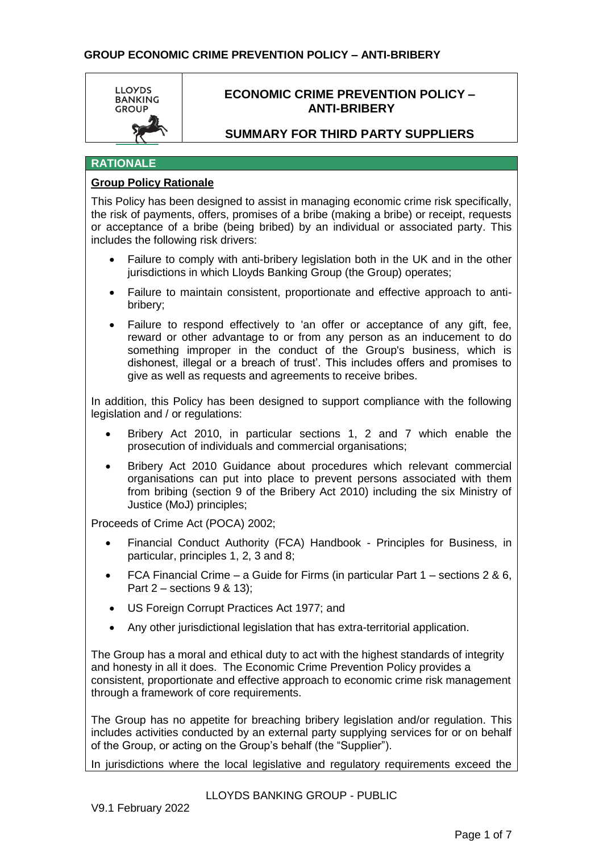

# **SUMMARY FOR THIRD PARTY SUPPLIERS**

# **RATIONALE**

## **Group Policy Rationale**

This Policy has been designed to assist in managing economic crime risk specifically, the risk of payments, offers, promises of a bribe (making a bribe) or receipt, requests or acceptance of a bribe (being bribed) by an individual or associated party. This includes the following risk drivers:

- Failure to comply with anti-bribery legislation both in the UK and in the other jurisdictions in which Lloyds Banking Group (the Group) operates;
- Failure to maintain consistent, proportionate and effective approach to antibribery;
- Failure to respond effectively to 'an offer or acceptance of any gift, fee, reward or other advantage to or from any person as an inducement to do something improper in the conduct of the Group's business, which is dishonest, illegal or a breach of trust'. This includes offers and promises to give as well as requests and agreements to receive bribes.

In addition, this Policy has been designed to support compliance with the following legislation and / or regulations:

- Bribery Act 2010, in particular sections 1, 2 and 7 which enable the prosecution of individuals and commercial organisations;
- Bribery Act 2010 Guidance about procedures which relevant commercial organisations can put into place to prevent persons associated with them from bribing (section 9 of the Bribery Act 2010) including the six Ministry of Justice (MoJ) principles;

• Proceeds of Crime Act (POCA) 2002;

- Financial Conduct Authority (FCA) Handbook Principles for Business, in particular, principles 1, 2, 3 and 8;
- FCA Financial Crime a Guide for Firms (in particular Part 1 sections 2 & 6, Part 2 – sections 9 & 13);
- US Foreign Corrupt Practices Act 1977; and
- Any other jurisdictional legislation that has extra-territorial application.

The Group has a moral and ethical duty to act with the highest standards of integrity and honesty in all it does. The Economic Crime Prevention Policy provides a consistent, proportionate and effective approach to economic crime risk management through a framework of core requirements.

The Group has no appetite for breaching bribery legislation and/or regulation. This includes activities conducted by an external party supplying services for or on behalf of the Group, or acting on the Group's behalf (the "Supplier").

In jurisdictions where the local legislative and regulatory requirements exceed the

LLOYDS BANKING GROUP - PUBLIC

V9.1 February 2022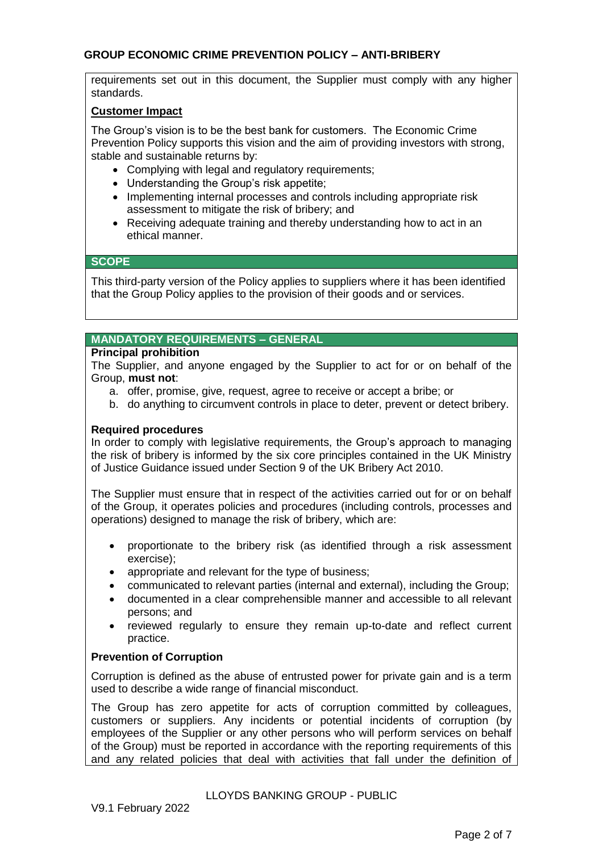requirements set out in this document, the Supplier must comply with any higher standards.

# **Customer Impact**

The Group's vision is to be the best bank for customers. The Economic Crime Prevention Policy supports this vision and the aim of providing investors with strong, stable and sustainable returns by:

- Complying with legal and regulatory requirements;
- Understanding the Group's risk appetite;
- Implementing internal processes and controls including appropriate risk assessment to mitigate the risk of bribery; and
- Receiving adequate training and thereby understanding how to act in an ethical manner.

# **SCOPE**

This third-party version of the Policy applies to suppliers where it has been identified that the Group Policy applies to the provision of their goods and or services.

# **MANDATORY REQUIREMENTS – GENERAL**

#### **Principal prohibition**

The Supplier, and anyone engaged by the Supplier to act for or on behalf of the Group, **must not**:

- a. offer, promise, give, request, agree to receive or accept a bribe; or
- b. do anything to circumvent controls in place to deter, prevent or detect bribery.

## **Required procedures**

In order to comply with legislative requirements, the Group's approach to managing the risk of bribery is informed by the six core principles contained in the UK Ministry of Justice Guidance issued under Section 9 of the UK Bribery Act 2010.

The Supplier must ensure that in respect of the activities carried out for or on behalf of the Group, it operates policies and procedures (including controls, processes and operations) designed to manage the risk of bribery, which are:

- proportionate to the bribery risk (as identified through a risk assessment exercise);
- appropriate and relevant for the type of business;
- communicated to relevant parties (internal and external), including the Group;
- documented in a clear comprehensible manner and accessible to all relevant persons; and
- reviewed regularly to ensure they remain up-to-date and reflect current practice.

#### **Prevention of Corruption**

Corruption is defined as the abuse of entrusted power for private gain and is a term used to describe a wide range of financial misconduct.

The Group has zero appetite for acts of corruption committed by colleagues, customers or suppliers. Any incidents or potential incidents of corruption (by employees of the Supplier or any other persons who will perform services on behalf of the Group) must be reported in accordance with the reporting requirements of this and any related policies that deal with activities that fall under the definition of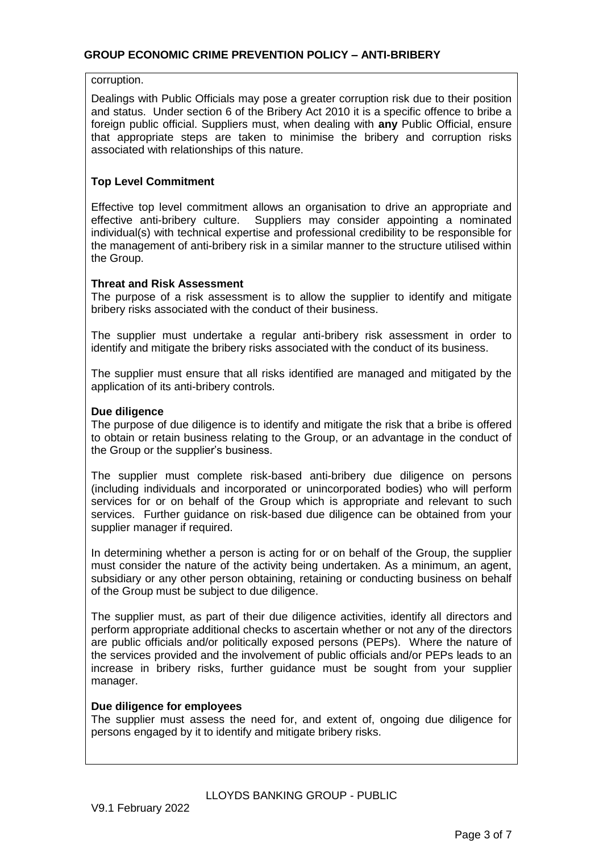corruption.

Dealings with Public Officials may pose a greater corruption risk due to their position and status. Under section 6 of the Bribery Act 2010 it is a specific offence to bribe a foreign public official. Suppliers must, when dealing with **any** Public Official, ensure that appropriate steps are taken to minimise the bribery and corruption risks associated with relationships of this nature.

# **Top Level Commitment**

Effective top level commitment allows an organisation to drive an appropriate and effective anti-bribery culture. Suppliers may consider appointing a nominated individual(s) with technical expertise and professional credibility to be responsible for the management of anti-bribery risk in a similar manner to the structure utilised within the Group.

## **Threat and Risk Assessment**

The purpose of a risk assessment is to allow the supplier to identify and mitigate bribery risks associated with the conduct of their business.

The supplier must undertake a regular anti-bribery risk assessment in order to identify and mitigate the bribery risks associated with the conduct of its business.

The supplier must ensure that all risks identified are managed and mitigated by the application of its anti-bribery controls.

## **Due diligence**

The purpose of due diligence is to identify and mitigate the risk that a bribe is offered to obtain or retain business relating to the Group, or an advantage in the conduct of the Group or the supplier's business.

The supplier must complete risk-based anti-bribery due diligence on persons (including individuals and incorporated or unincorporated bodies) who will perform services for or on behalf of the Group which is appropriate and relevant to such services. Further guidance on risk-based due diligence can be obtained from your supplier manager if required.

In determining whether a person is acting for or on behalf of the Group, the supplier must consider the nature of the activity being undertaken. As a minimum, an agent, subsidiary or any other person obtaining, retaining or conducting business on behalf of the Group must be subject to due diligence.

The supplier must, as part of their due diligence activities, identify all directors and perform appropriate additional checks to ascertain whether or not any of the directors are public officials and/or politically exposed persons (PEPs). Where the nature of the services provided and the involvement of public officials and/or PEPs leads to an increase in bribery risks, further guidance must be sought from your supplier manager.

#### **Due diligence for employees**

The supplier must assess the need for, and extent of, ongoing due diligence for persons engaged by it to identify and mitigate bribery risks.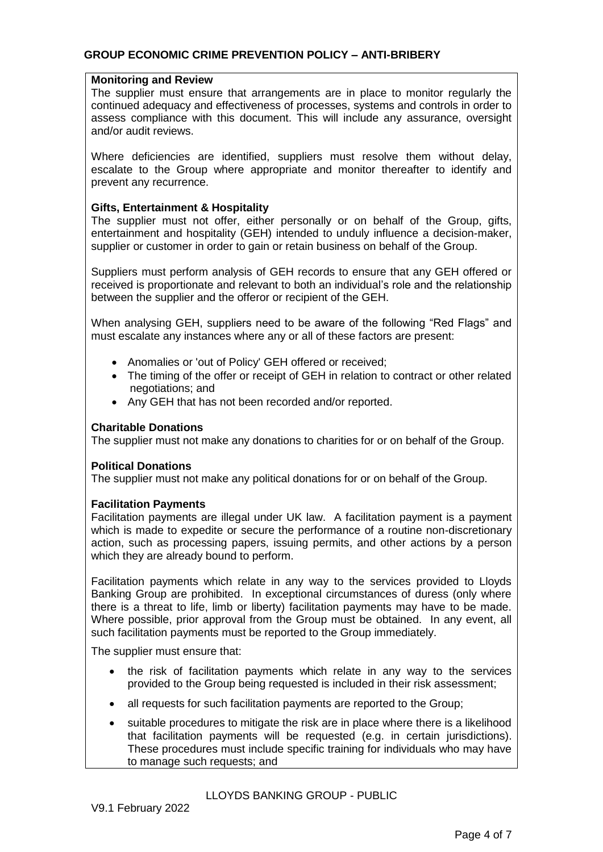## **Monitoring and Review**

The supplier must ensure that arrangements are in place to monitor regularly the continued adequacy and effectiveness of processes, systems and controls in order to assess compliance with this document. This will include any assurance, oversight and/or audit reviews.

Where deficiencies are identified, suppliers must resolve them without delay, escalate to the Group where appropriate and monitor thereafter to identify and prevent any recurrence.

## **Gifts, Entertainment & Hospitality**

The supplier must not offer, either personally or on behalf of the Group, gifts, entertainment and hospitality (GEH) intended to unduly influence a decision-maker, supplier or customer in order to gain or retain business on behalf of the Group.

Suppliers must perform analysis of GEH records to ensure that any GEH offered or received is proportionate and relevant to both an individual's role and the relationship between the supplier and the offeror or recipient of the GEH.

When analysing GEH, suppliers need to be aware of the following "Red Flags" and must escalate any instances where any or all of these factors are present:

- Anomalies or 'out of Policy' GEH offered or received;
- The timing of the offer or receipt of GEH in relation to contract or other related negotiations; and
- Any GEH that has not been recorded and/or reported.

#### **Charitable Donations**

The supplier must not make any donations to charities for or on behalf of the Group.

#### **Political Donations**

The supplier must not make any political donations for or on behalf of the Group.

#### **Facilitation Payments**

Facilitation payments are illegal under UK law. A facilitation payment is a payment which is made to expedite or secure the performance of a routine non-discretionary action, such as processing papers, issuing permits, and other actions by a person which they are already bound to perform.

Facilitation payments which relate in any way to the services provided to Lloyds Banking Group are prohibited. In exceptional circumstances of duress (only where there is a threat to life, limb or liberty) facilitation payments may have to be made. Where possible, prior approval from the Group must be obtained. In any event, all such facilitation payments must be reported to the Group immediately.

The supplier must ensure that:

- the risk of facilitation payments which relate in any way to the services provided to the Group being requested is included in their risk assessment;
- all requests for such facilitation payments are reported to the Group;
- suitable procedures to mitigate the risk are in place where there is a likelihood that facilitation payments will be requested (e.g. in certain jurisdictions). These procedures must include specific training for individuals who may have to manage such requests; and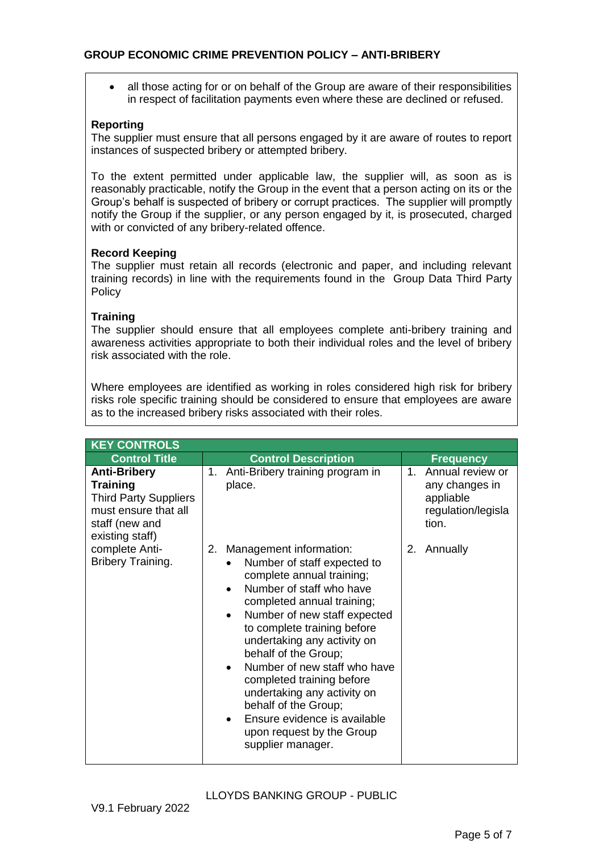all those acting for or on behalf of the Group are aware of their responsibilities in respect of facilitation payments even where these are declined or refused.

## **Reporting**

The supplier must ensure that all persons engaged by it are aware of routes to report instances of suspected bribery or attempted bribery.

To the extent permitted under applicable law, the supplier will, as soon as is reasonably practicable, notify the Group in the event that a person acting on its or the Group's behalf is suspected of bribery or corrupt practices. The supplier will promptly notify the Group if the supplier, or any person engaged by it, is prosecuted, charged with or convicted of any bribery-related offence.

## **Record Keeping**

The supplier must retain all records (electronic and paper, and including relevant training records) in line with the requirements found in the Group Data Third Party Policy

## **Training**

The supplier should ensure that all employees complete anti-bribery training and awareness activities appropriate to both their individual roles and the level of bribery risk associated with the role.

Where employees are identified as working in roles considered high risk for bribery risks role specific training should be considered to ensure that employees are aware as to the increased bribery risks associated with their roles.

| <b>KEY CONTROLS</b>                                                                                                                 |                                                                                                                                                                                                                                                                                                                                                                                                                                                                                 |                                                                                           |  |  |
|-------------------------------------------------------------------------------------------------------------------------------------|---------------------------------------------------------------------------------------------------------------------------------------------------------------------------------------------------------------------------------------------------------------------------------------------------------------------------------------------------------------------------------------------------------------------------------------------------------------------------------|-------------------------------------------------------------------------------------------|--|--|
| <b>Control Title</b>                                                                                                                | <b>Control Description</b>                                                                                                                                                                                                                                                                                                                                                                                                                                                      | <b>Frequency</b>                                                                          |  |  |
| <b>Anti-Bribery</b><br><b>Training</b><br><b>Third Party Suppliers</b><br>must ensure that all<br>staff (new and<br>existing staff) | Anti-Bribery training program in<br>1.<br>place.                                                                                                                                                                                                                                                                                                                                                                                                                                | Annual review or<br>$1_{-}$<br>any changes in<br>appliable<br>regulation/legisla<br>tion. |  |  |
| complete Anti-<br>Bribery Training.                                                                                                 | Management information:<br>2.<br>Number of staff expected to<br>complete annual training;<br>Number of staff who have<br>completed annual training;<br>Number of new staff expected<br>to complete training before<br>undertaking any activity on<br>behalf of the Group;<br>Number of new staff who have<br>completed training before<br>undertaking any activity on<br>behalf of the Group;<br>Ensure evidence is available<br>upon request by the Group<br>supplier manager. | Annually<br>2.                                                                            |  |  |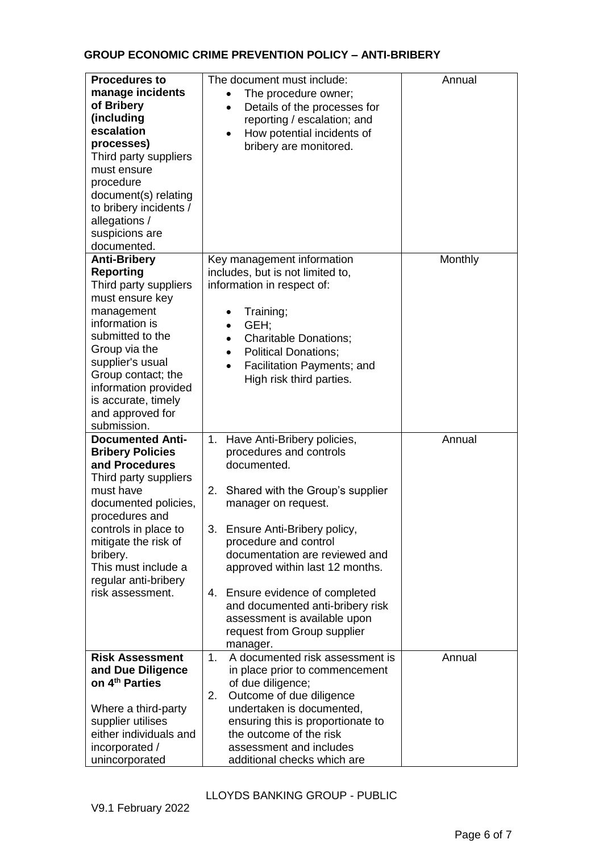| <b>Procedures to</b><br>manage incidents<br>of Bribery<br>(including<br>escalation<br>processes)<br>Third party suppliers<br>must ensure<br>procedure<br>document(s) relating<br>to bribery incidents /<br>allegations /<br>suspicions are<br>documented.                            | The document must include:<br>The procedure owner;<br>Details of the processes for<br>reporting / escalation; and<br>How potential incidents of<br>$\bullet$<br>bribery are monitored.                                                                                                                                                                                                                                               | Annual  |
|--------------------------------------------------------------------------------------------------------------------------------------------------------------------------------------------------------------------------------------------------------------------------------------|--------------------------------------------------------------------------------------------------------------------------------------------------------------------------------------------------------------------------------------------------------------------------------------------------------------------------------------------------------------------------------------------------------------------------------------|---------|
| <b>Anti-Bribery</b><br><b>Reporting</b><br>Third party suppliers<br>must ensure key<br>management<br>information is<br>submitted to the<br>Group via the<br>supplier's usual<br>Group contact; the<br>information provided<br>is accurate, timely<br>and approved for<br>submission. | Key management information<br>includes, but is not limited to,<br>information in respect of:<br>Training;<br>GEH;<br><b>Charitable Donations;</b><br>$\bullet$<br><b>Political Donations;</b><br>$\bullet$<br>Facilitation Payments; and<br>High risk third parties.                                                                                                                                                                 | Monthly |
| <b>Documented Anti-</b><br><b>Bribery Policies</b><br>and Procedures<br>Third party suppliers<br>must have<br>documented policies,<br>procedures and<br>controls in place to<br>mitigate the risk of<br>bribery.<br>This must include a<br>regular anti-bribery<br>risk assessment.  | Have Anti-Bribery policies,<br>1.<br>procedures and controls<br>documented.<br>Shared with the Group's supplier<br>2.<br>manager on request.<br>3.<br>Ensure Anti-Bribery policy,<br>procedure and control<br>documentation are reviewed and<br>approved within last 12 months.<br>Ensure evidence of completed<br>4.<br>and documented anti-bribery risk<br>assessment is available upon<br>request from Group supplier<br>manager. | Annual  |
| <b>Risk Assessment</b><br>and Due Diligence<br>on 4 <sup>th</sup> Parties<br>Where a third-party<br>supplier utilises<br>either individuals and<br>incorporated /<br>unincorporated                                                                                                  | A documented risk assessment is<br>1.<br>in place prior to commencement<br>of due diligence;<br>2.<br>Outcome of due diligence<br>undertaken is documented,<br>ensuring this is proportionate to<br>the outcome of the risk<br>assessment and includes<br>additional checks which are                                                                                                                                                | Annual  |